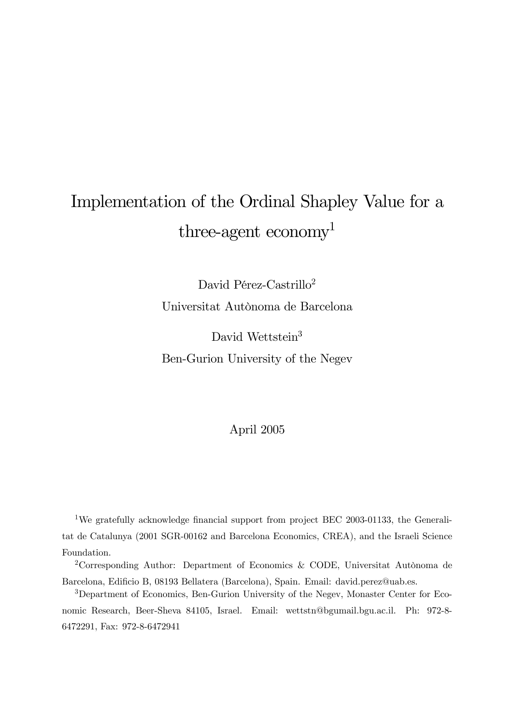# Implementation of the Ordinal Shapley Value for a three-agent economy<sup>1</sup>

David Pérez-Castrillo<sup>2</sup> Universitat Autònoma de Barcelona

David Wettstein<sup>3</sup> Ben-Gurion University of the Negev

### April 2005

<sup>1</sup>We gratefully acknowledge financial support from project BEC 2003-01133, the Generalitat de Catalunya (2001 SGR-00162 and Barcelona Economics, CREA), and the Israeli Science Foundation.

2Corresponding Author: Department of Economics & CODE, Universitat Autònoma de Barcelona, Edificio B, 08193 Bellatera (Barcelona), Spain. Email: david.perez@uab.es.

3Department of Economics, Ben-Gurion University of the Negev, Monaster Center for Economic Research, Beer-Sheva 84105, Israel. Email: wettstn@bgumail.bgu.ac.il. Ph: 972-8- 6472291, Fax: 972-8-6472941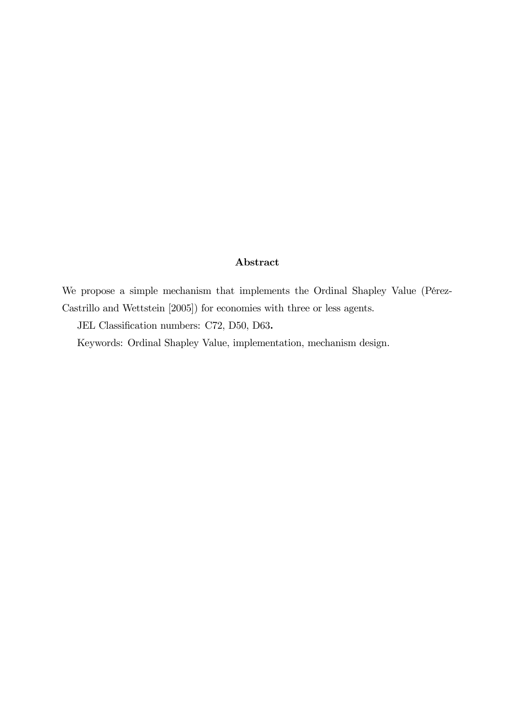#### Abstract

We propose a simple mechanism that implements the Ordinal Shapley Value (Pérez-Castrillo and Wettstein [2005]) for economies with three or less agents.

JEL Classification numbers: C72, D50, D63.

Keywords: Ordinal Shapley Value, implementation, mechanism design.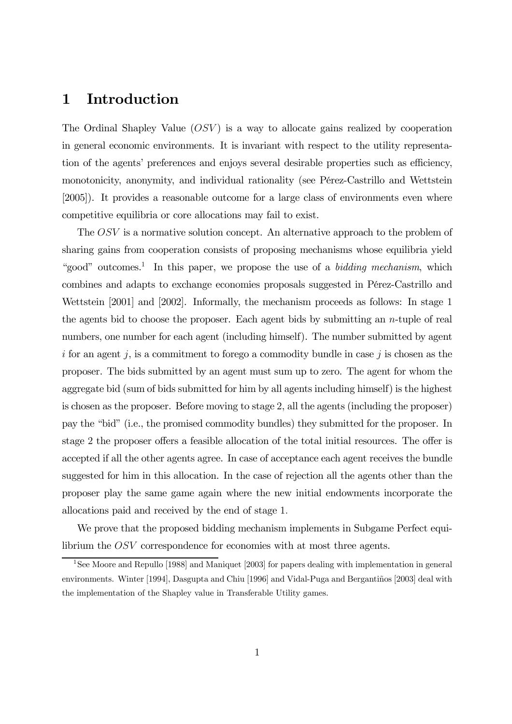## 1 Introduction

The Ordinal Shapley Value  $(OSV)$  is a way to allocate gains realized by cooperation in general economic environments. It is invariant with respect to the utility representation of the agents' preferences and enjoys several desirable properties such as efficiency, monotonicity, anonymity, and individual rationality (see Pérez-Castrillo and Wettstein [2005]). It provides a reasonable outcome for a large class of environments even where competitive equilibria or core allocations may fail to exist.

The OSV is a normative solution concept. An alternative approach to the problem of sharing gains from cooperation consists of proposing mechanisms whose equilibria yield "good" outcomes.<sup>1</sup> In this paper, we propose the use of a *bidding mechanism*, which combines and adapts to exchange economies proposals suggested in Pérez-Castrillo and Wettstein [2001] and [2002]. Informally, the mechanism proceeds as follows: In stage 1 the agents bid to choose the proposer. Each agent bids by submitting an n-tuple of real numbers, one number for each agent (including himself). The number submitted by agent  $i$  for an agent  $j$ , is a commitment to forego a commodity bundle in case  $j$  is chosen as the proposer. The bids submitted by an agent must sum up to zero. The agent for whom the aggregate bid (sum of bids submitted for him by all agents including himself) is the highest is chosen as the proposer. Before moving to stage 2, all the agents (including the proposer) pay the "bid" (i.e., the promised commodity bundles) they submitted for the proposer. In stage 2 the proposer offers a feasible allocation of the total initial resources. The offer is accepted if all the other agents agree. In case of acceptance each agent receives the bundle suggested for him in this allocation. In the case of rejection all the agents other than the proposer play the same game again where the new initial endowments incorporate the allocations paid and received by the end of stage 1.

We prove that the proposed bidding mechanism implements in Subgame Perfect equilibrium the OSV correspondence for economies with at most three agents.

<sup>&</sup>lt;sup>1</sup>See Moore and Repullo [1988] and Maniquet [2003] for papers dealing with implementation in general environments. Winter [1994], Dasgupta and Chiu [1996] and Vidal-Puga and Bergantiños [2003] deal with the implementation of the Shapley value in Transferable Utility games.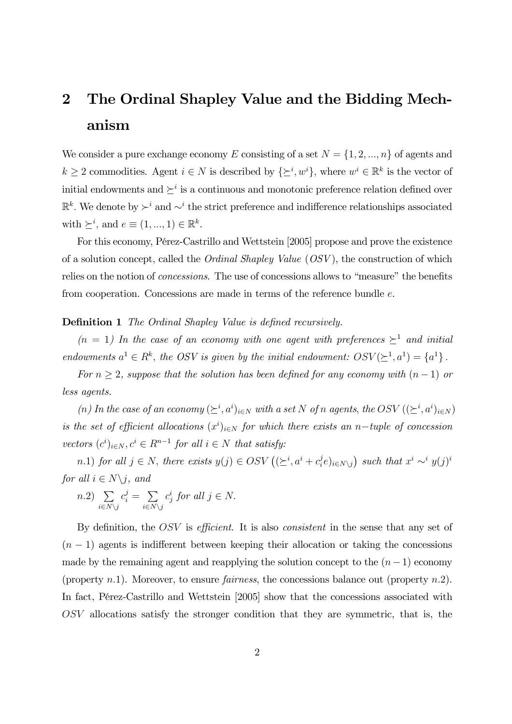## 2 The Ordinal Shapley Value and the Bidding Mechanism

We consider a pure exchange economy E consisting of a set  $N = \{1, 2, ..., n\}$  of agents and  $k \geq 2$  commodities. Agent  $i \in N$  is described by  $\{\succeq^i, w^i\}$ , where  $w^i \in \mathbb{R}^k$  is the vector of initial endowments and  $\succeq^i$  is a continuous and monotonic preference relation defined over  $\mathbb{R}^k$ . We denote by ≻<sup>i</sup> and ∼<sup>i</sup> the strict preference and indifference relationships associated with  $\succeq^i$ , and  $e \equiv (1, ..., 1) \in \mathbb{R}^k$ .

For this economy, Pérez-Castrillo and Wettstein [2005] propose and prove the existence of a solution concept, called the Ordinal Shapley Value (OSV ), the construction of which relies on the notion of concessions. The use of concessions allows to "measure" the benefits from cooperation. Concessions are made in terms of the reference bundle e.

#### **Definition 1** The Ordinal Shapley Value is defined recursively.

 $(n = 1)$  In the case of an economy with one agent with preferences  $\geq^1$  and initial endowments  $a^1 \in R^k$ , the OSV is given by the initial endowment:  $OSV(\succeq^1, a^1) = \{a^1\}$ .

For  $n \geq 2$ , suppose that the solution has been defined for any economy with  $(n-1)$  or less agents.

(n) In the case of an economy  $(\succeq^i, a^i)_{i \in N}$  with a set N of n agents, the OSV  $((\succeq^i, a^i)_{i \in N})$ is the set of efficient allocations  $(x^{i})_{i \in N}$  for which there exists an n-tuple of concession vectors  $(c^i)_{i \in N}$ ,  $c^i \in R^{n-1}$  for all  $i \in N$  that satisfy:

n.1) for all  $j \in N$ , there exists  $y(j) \in OSV((\geq i, a^i + c_i^j e)_{i \in N \setminus j})$  such that  $x^i \sim^i y(j)^i$ for all  $i \in N \backslash j$ , and

$$
n.2) \sum_{i \in N \setminus j} c_i^j = \sum_{i \in N \setminus j} c_j^i \text{ for all } j \in N.
$$

By definition, the OSV is *efficient*. It is also *consistent* in the sense that any set of  $(n-1)$  agents is indifferent between keeping their allocation or taking the concessions made by the remaining agent and reapplying the solution concept to the  $(n-1)$  economy (property n.1). Moreover, to ensure *fairness*, the concessions balance out (property  $n.2$ ). In fact, Pérez-Castrillo and Wettstein [2005] show that the concessions associated with OSV allocations satisfy the stronger condition that they are symmetric, that is, the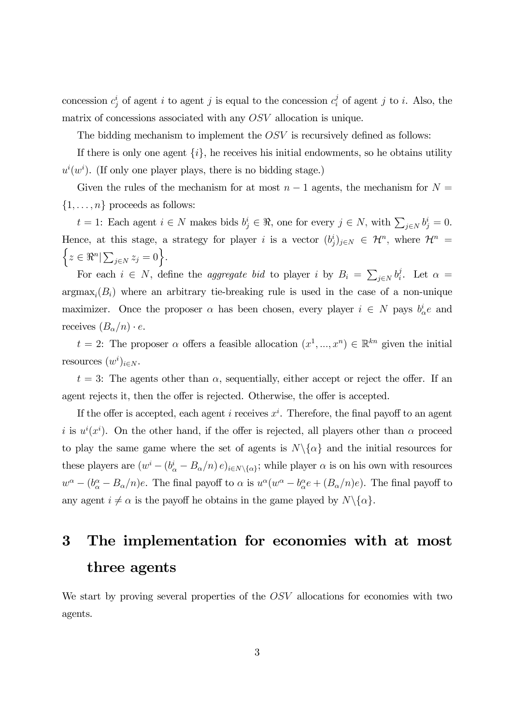concession  $c_j^i$  of agent i to agent j is equal to the concession  $c_i^j$  of agent j to i. Also, the matrix of concessions associated with any OSV allocation is unique.

The bidding mechanism to implement the OSV is recursively defined as follows:

If there is only one agent  $\{i\}$ , he receives his initial endowments, so he obtains utility  $u^{i}(w^{i})$ . (If only one player plays, there is no bidding stage.)

Given the rules of the mechanism for at most  $n-1$  agents, the mechanism for  $N =$  $\{1,\ldots,n\}$  proceeds as follows:

 $t = 1$ : Each agent  $i \in N$  makes bids  $b_j^i \in \Re$ , one for every  $j \in N$ , with  $\sum_{j \in N} b_j^i = 0$ . Hence, at this stage, a strategy for player *i* is a vector  $(b_j^i)_{j \in N} \in \mathcal{H}^n$ , where  $\mathcal{H}^n =$ <br> $\int_{\alpha \in \mathbb{R}^{n}} | \nabla \alpha_i | \alpha_i = 0$  $z \in \Re^n \big| \sum_{j \in N} z_j = 0 \Big\}.$ 

For each  $i \in N$ , define the *aggregate bid* to player i by  $B_i = \sum_{j \in N} b_i^j$ . Let  $\alpha =$  $argmax_i(B_i)$  where an arbitrary tie-breaking rule is used in the case of a non-unique maximizer. Once the proposer  $\alpha$  has been chosen, every player  $i \in N$  pays  $b^i_{\alpha}e$  and receives  $(B_{\alpha}/n) \cdot e$ .

 $t = 2$ : The proposer  $\alpha$  offers a feasible allocation  $(x^1, ..., x^n) \in \mathbb{R}^{kn}$  given the initial resources  $(w^i)_{i \in N}$ .

 $t = 3$ : The agents other than  $\alpha$ , sequentially, either accept or reject the offer. If an agent rejects it, then the offer is rejected. Otherwise, the offer is accepted.

If the offer is accepted, each agent i receives  $x^i$ . Therefore, the final payoff to an agent i is  $u^{i}(x^{i})$ . On the other hand, if the offer is rejected, all players other than  $\alpha$  proceed to play the same game where the set of agents is  $N\setminus\{\alpha\}$  and the initial resources for these players are  $(w^i - (b^i_\alpha - B_\alpha/n) e)_{i \in N \setminus {\{\alpha\}}};$  while player  $\alpha$  is on his own with resources  $w^{\alpha} - (b^{\alpha}_{\alpha} - B_{\alpha}/n)e$ . The final payoff to  $\alpha$  is  $u^{\alpha}(w^{\alpha} - b^{\alpha}_{\alpha}e + (B_{\alpha}/n)e)$ . The final payoff to any agent  $i \neq \alpha$  is the payoff he obtains in the game played by  $N\setminus\{\alpha\}.$ 

## 3 The implementation for economies with at most three agents

We start by proving several properties of the OSV allocations for economies with two agents.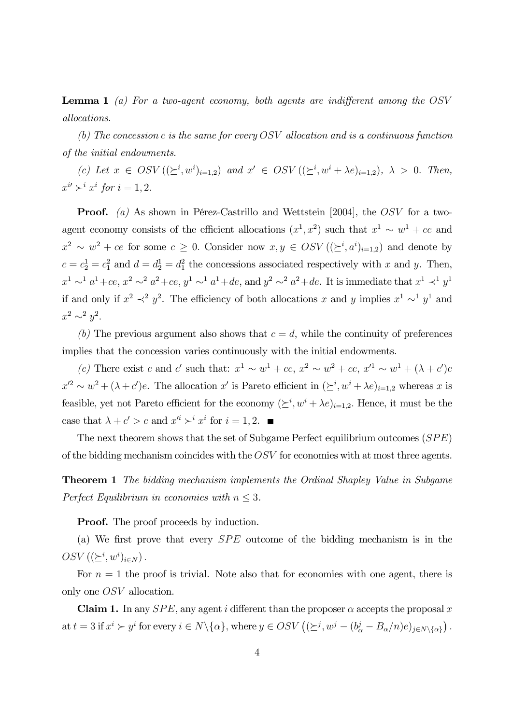**Lemma 1** (a) For a two-agent economy, both agents are indifferent among the  $OSV$ allocations.

(b) The concession c is the same for every OSV allocation and is a continuous function of the initial endowments.

(c) Let  $x \in OSV((\geq^i,w^i)_{i=1,2})$  and  $x' \in OSV((\geq^i,w^i+\lambda e)_{i=1,2}), \lambda > 0$ . Then,  $x^{i'} \succ^i x^i$  for  $i = 1, 2$ .

**Proof.** (a) As shown in Pérez-Castrillo and Wettstein [2004], the OSV for a twoagent economy consists of the efficient allocations  $(x^1, x^2)$  such that  $x^1 \sim w^1 + ce$  and  $x^2 \sim w^2 + ce$  for some  $c \geq 0$ . Consider now  $x, y \in OSV((\geq^i, a^i)_{i=1,2})$  and denote by  $c = c_2^1 = c_1^2$  and  $d = d_2^1 = d_1^2$  the concessions associated respectively with x and y. Then,  $x^1 \sim^1 a^1 + ce$ ,  $x^2 \sim^2 a^2 + ce$ ,  $y^1 \sim^1 a^1 + de$ , and  $y^2 \sim^2 a^2 + de$ . It is immediate that  $x^1 \prec^1 y^1$ if and only if  $x^2 \prec^2 y^2$ . The efficiency of both allocations x and y implies  $x^1 \sim^1 y^1$  and  $x^2 \sim^2 y^2$ .

(b) The previous argument also shows that  $c = d$ , while the continuity of preferences implies that the concession varies continuously with the initial endowments.

(c) There exist c and c' such that:  $x^1 \sim w^1 + ce$ ,  $x^2 \sim w^2 + ce$ ,  $x'^1 \sim w^1 + (\lambda + c')e$  $x'^2 \sim w^2 + (\lambda + c')e$ . The allocation  $x'$  is Pareto efficient in  $(\succeq^i, w^i + \lambda e)_{i=1,2}$  whereas x is feasible, yet not Pareto efficient for the economy  $(\succeq^i, w^i + \lambda e)_{i=1,2}$ . Hence, it must be the case that  $\lambda + c' > c$  and  $x'^i \succ^i x^i$  for  $i = 1, 2$ .

The next theorem shows that the set of Subgame Perfect equilibrium outcomes (SPE) of the bidding mechanism coincides with the OSV for economies with at most three agents.

Theorem 1 The bidding mechanism implements the Ordinal Shapley Value in Subgame Perfect Equilibrium in economies with  $n \leq 3$ .

**Proof.** The proof proceeds by induction.

(a) We first prove that every SPE outcome of the bidding mechanism is in the  $OSV ((\succeq^i, w^i)_{i \in N})$ .

For  $n = 1$  the proof is trivial. Note also that for economies with one agent, there is only one OSV allocation.

**Claim 1.** In any  $SPE$ , any agent i different than the proposer  $\alpha$  accepts the proposal x at  $t = 3$  if  $x^i \succ y^i$  for every  $i \in N \setminus {\alpha}$ , where  $y \in OSV \left( (\succeq^j, w^j - (b^j_\alpha - B_\alpha/n)e)_{j \in N \setminus {\alpha}} \right)$ .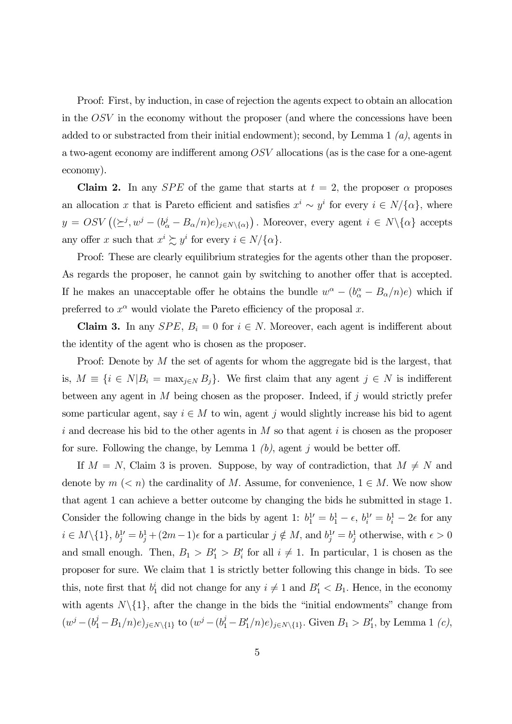Proof: First, by induction, in case of rejection the agents expect to obtain an allocation in the OSV in the economy without the proposer (and where the concessions have been added to or substracted from their initial endowment); second, by Lemma 1  $(a)$ , agents in a two-agent economy are indifferent among OSV allocations (as is the case for a one-agent economy).

**Claim 2.** In any *SPE* of the game that starts at  $t = 2$ , the proposer  $\alpha$  proposes an allocation x that is Pareto efficient and satisfies  $x^i \sim y^i$  for every  $i \in N/\{\alpha\}$ , where  $y = OSV((\succeq^{j}, w^{j} - (b_{\alpha}^{j} - B_{\alpha}/n)e)_{j \in N \setminus {\{\alpha\}}})$ . Moreover, every agent  $i \in N \setminus {\{\alpha\}}$  accepts any offer x such that  $x^i \succsim y^i$  for every  $i \in N/\{\alpha\}.$ 

Proof: These are clearly equilibrium strategies for the agents other than the proposer. As regards the proposer, he cannot gain by switching to another offer that is accepted. If he makes an unacceptable offer he obtains the bundle  $w^{\alpha} - (b^{\alpha}_{\alpha} - B_{\alpha}/n)e$  which if preferred to  $x^{\alpha}$  would violate the Pareto efficiency of the proposal x.

Claim 3. In any  $SPE$ ,  $B_i = 0$  for  $i \in N$ . Moreover, each agent is indifferent about the identity of the agent who is chosen as the proposer.

Proof: Denote by M the set of agents for whom the aggregate bid is the largest, that is,  $M \equiv \{i \in N | B_i = \max_{j \in N} B_j\}$ . We first claim that any agent  $j \in N$  is indifferent between any agent in  $M$  being chosen as the proposer. Indeed, if  $j$  would strictly prefer some particular agent, say  $i \in M$  to win, agent j would slightly increase his bid to agent i and decrease his bid to the other agents in  $M$  so that agent i is chosen as the proposer for sure. Following the change, by Lemma 1  $(b)$ , agent j would be better off.

If  $M = N$ , Claim 3 is proven. Suppose, by way of contradiction, that  $M \neq N$  and denote by  $m \leq n$  the cardinality of M. Assume, for convenience,  $1 \in M$ . We now show that agent 1 can achieve a better outcome by changing the bids he submitted in stage 1. Consider the following change in the bids by agent 1:  $b_1^{1'} = b_1^1 - \epsilon$ ,  $b_i^{1'} = b_i^1 - 2\epsilon$  for any  $i \in M \setminus \{1\}, b_j^{1'} = b_j^1 + (2m-1)\epsilon$  for a particular  $j \notin M$ , and  $b_j^{1'} = b_j^1$  otherwise, with  $\epsilon > 0$ and small enough. Then,  $B_1 > B'_1 > B'_i$  for all  $i \neq 1$ . In particular, 1 is chosen as the proposer for sure. We claim that 1 is strictly better following this change in bids. To see this, note first that  $b_1^i$  did not change for any  $i \neq 1$  and  $B_1' < B_1$ . Hence, in the economy with agents  $N\setminus\{1\}$ , after the change in the bids the "initial endowments" change from  $(w^{j} - (b_1^{j} - B_1/n)e)_{j \in N \setminus \{1\}}$  to  $(w^{j} - (b_1^{j} - B_1'/n)e)_{j \in N \setminus \{1\}}$ . Given  $B_1 > B_1'$ , by Lemma 1  $(c)$ ,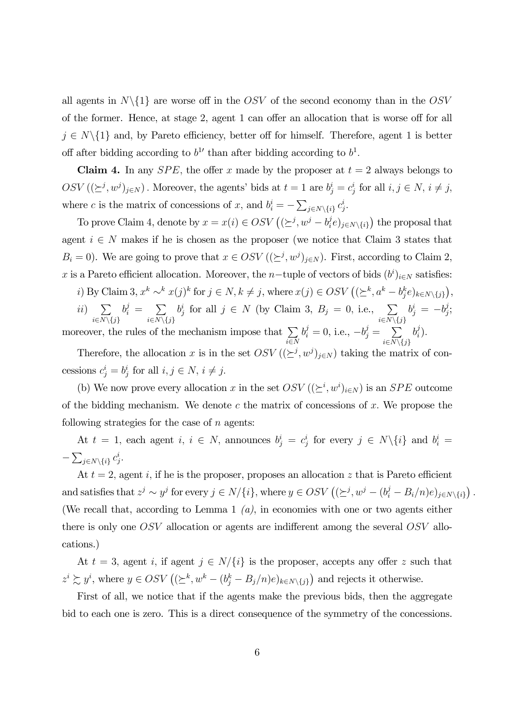all agents in  $N\setminus\{1\}$  are worse off in the OSV of the second economy than in the OSV of the former. Hence, at stage 2, agent 1 can offer an allocation that is worse off for all  $j \in N\backslash\{1\}$  and, by Pareto efficiency, better off for himself. Therefore, agent 1 is better off after bidding according to  $b<sup>1</sup>$  than after bidding according to  $b<sup>1</sup>$ .

**Claim 4.** In any *SPE*, the offer x made by the proposer at  $t = 2$  always belongs to  $OSV((\succeq^j, w^j)_{j \in N})$ . Moreover, the agents' bids at  $t = 1$  are  $b_j^i = c_j^i$  for all  $i, j \in N$ ,  $i \neq j$ , where c is the matrix of concessions of x, and  $b_i^i = -\sum_{j \in N \setminus \{i\}} c_j^i$ .

To prove Claim 4, denote by  $x = x(i) \in OSV((\succeq^j, w^j - b_i^j e)_{j \in N \setminus \{i\}})$  the proposal that agent  $i \in N$  makes if he is chosen as the proposer (we notice that Claim 3 states that  $B_i = 0$ ). We are going to prove that  $x \in OSV((\succeq^j, w^j)_{j \in N})$ . First, according to Claim 2, x is a Pareto efficient allocation. Moreover, the n-tuple of vectors of bids  $(b^i)_{i\in N}$  satisfies:

i) By Claim 3,  $x^k \sim^k x(j)^k$  for  $j \in N$ ,  $k \neq j$ , where  $x(j) \in OSV \left( (\geq^k, a^k - b_j^k e)_{k \in N \setminus \{j\}} \right)$ , ii)  $\sum$  $b_i^j = \sum$  $b_j^i$  for all  $j \in N$  (by Claim 3,  $B_j = 0$ , i.e.,  $\sum_{j \in N}$ )  $b_j^i = -b_j^j;$ 

 $i\in N\backslash\{j\}$  $i\in N\backslash\{j\}$  $i\in N\backslash\{j\}$ moreover, the rules of the mechanism impose that  $\sum$ i∈N  $b_i^j = 0$ , i.e.,  $-b_j^j = \sum_{i=1}^j$  $i\in N\backslash\{j\}$  $b_i^j$ .

Therefore, the allocation x is in the set  $OSV((\succeq^j, w^j)_{j\in N})$  taking the matrix of concessions  $c_j^i = b_j^i$  for all  $i, j \in N$ ,  $i \neq j$ .

(b) We now prove every allocation x in the set  $OSV((\geq^i, w^i)_{i \in N})$  is an  $SPE$  outcome of the bidding mechanism. We denote c the matrix of concessions of x. We propose the following strategies for the case of  $n$  agents:

At  $t = 1$ , each agent  $i, i \in N$ , announces  $b_j^i = c_j^i$  for every  $j \in N \setminus \{i\}$  and  $b_i^i =$  $-\sum_{j\in N\setminus\{i\}}c_j^i.$ 

At  $t = 2$ , agent i, if he is the proposer, proposes an allocation z that is Pareto efficient and satisfies that  $z^j \sim y^j$  for every  $j \in N/\{i\}$ , where  $y \in OSV \left( (\succeq^j, w^j - (b_i^j - B_i/n)e)_{j \in N \setminus \{i\}} \right)$ . (We recall that, according to Lemma 1  $(a)$ , in economies with one or two agents either there is only one OSV allocation or agents are indifferent among the several OSV allocations.)

At  $t = 3$ , agent i, if agent  $j \in N/\{i\}$  is the proposer, accepts any offer z such that  $z^i \gtrsim y^i$ , where  $y \in OSV \left( (\succeq^k, w^k - (b_j^k - B_j/n)e)_{k \in N \setminus \{j\}} \right)$  and rejects it otherwise.

First of all, we notice that if the agents make the previous bids, then the aggregate bid to each one is zero. This is a direct consequence of the symmetry of the concessions.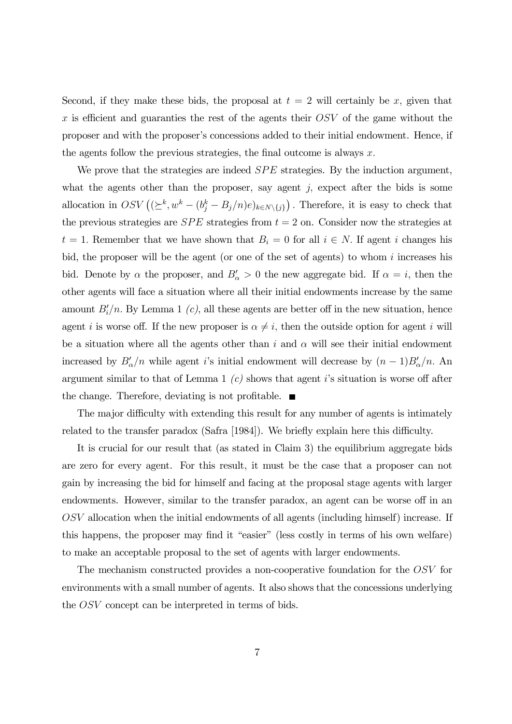Second, if they make these bids, the proposal at  $t = 2$  will certainly be x, given that  $x$  is efficient and guaranties the rest of the agents their  $OSV$  of the game without the proposer and with the proposer's concessions added to their initial endowment. Hence, if the agents follow the previous strategies, the final outcome is always  $x$ .

We prove that the strategies are indeed *SPE* strategies. By the induction argument, what the agents other than the proposer, say agent  $j$ , expect after the bids is some allocation in  $OSV((\ge^k, w^k - (b_j^k - B_j/n)e)_{k \in N \setminus \{j\}})$ . Therefore, it is easy to check that the previous strategies are  $SPE$  strategies from  $t = 2$  on. Consider now the strategies at  $t = 1$ . Remember that we have shown that  $B_i = 0$  for all  $i \in N$ . If agent i changes his bid, the proposer will be the agent (or one of the set of agents) to whom  $i$  increases his bid. Denote by  $\alpha$  the proposer, and  $B'_\alpha > 0$  the new aggregate bid. If  $\alpha = i$ , then the other agents will face a situation where all their initial endowments increase by the same amount  $B_i'/n$ . By Lemma 1 (c), all these agents are better off in the new situation, hence agent i is worse off. If the new proposer is  $\alpha \neq i$ , then the outside option for agent i will be a situation where all the agents other than i and  $\alpha$  will see their initial endowment increased by  $B'_\n\alpha/n$  while agent *i*'s initial endowment will decrease by  $(n-1)B'_\n\alpha/n$ . An argument similar to that of Lemma 1  $(c)$  shows that agent i's situation is worse off after the change. Therefore, deviating is not profitable.  $\blacksquare$ 

The major difficulty with extending this result for any number of agents is intimately related to the transfer paradox (Safra [1984]). We briefly explain here this difficulty.

It is crucial for our result that (as stated in Claim 3) the equilibrium aggregate bids are zero for every agent. For this result, it must be the case that a proposer can not gain by increasing the bid for himself and facing at the proposal stage agents with larger endowments. However, similar to the transfer paradox, an agent can be worse off in an OSV allocation when the initial endowments of all agents (including himself) increase. If this happens, the proposer may find it "easier" (less costly in terms of his own welfare) to make an acceptable proposal to the set of agents with larger endowments.

The mechanism constructed provides a non-cooperative foundation for the OSV for environments with a small number of agents. It also shows that the concessions underlying the OSV concept can be interpreted in terms of bids.